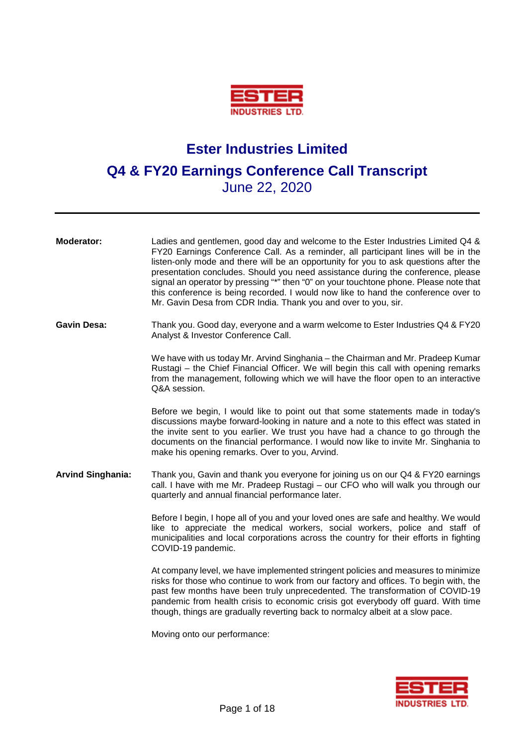

## **Ester Industries Limited Q4 & FY20 Earnings Conference Call Transcript** June 22, 2020

| <b>Moderator:</b>        | Ladies and gentlemen, good day and welcome to the Ester Industries Limited Q4 &<br>FY20 Earnings Conference Call. As a reminder, all participant lines will be in the<br>listen-only mode and there will be an opportunity for you to ask questions after the<br>presentation concludes. Should you need assistance during the conference, please<br>signal an operator by pressing "*" then "0" on your touchtone phone. Please note that<br>this conference is being recorded. I would now like to hand the conference over to<br>Mr. Gavin Desa from CDR India. Thank you and over to you, sir. |
|--------------------------|----------------------------------------------------------------------------------------------------------------------------------------------------------------------------------------------------------------------------------------------------------------------------------------------------------------------------------------------------------------------------------------------------------------------------------------------------------------------------------------------------------------------------------------------------------------------------------------------------|
| <b>Gavin Desa:</b>       | Thank you. Good day, everyone and a warm welcome to Ester Industries Q4 & FY20<br>Analyst & Investor Conference Call.                                                                                                                                                                                                                                                                                                                                                                                                                                                                              |
|                          | We have with us today Mr. Arvind Singhania – the Chairman and Mr. Pradeep Kumar<br>Rustagi - the Chief Financial Officer. We will begin this call with opening remarks<br>from the management, following which we will have the floor open to an interactive<br>Q&A session.                                                                                                                                                                                                                                                                                                                       |
|                          | Before we begin, I would like to point out that some statements made in today's<br>discussions maybe forward-looking in nature and a note to this effect was stated in<br>the invite sent to you earlier. We trust you have had a chance to go through the<br>documents on the financial performance. I would now like to invite Mr. Singhania to<br>make his opening remarks. Over to you, Arvind.                                                                                                                                                                                                |
| <b>Arvind Singhania:</b> | Thank you, Gavin and thank you everyone for joining us on our Q4 & FY20 earnings<br>call. I have with me Mr. Pradeep Rustagi - our CFO who will walk you through our<br>quarterly and annual financial performance later.                                                                                                                                                                                                                                                                                                                                                                          |
|                          | Before I begin, I hope all of you and your loved ones are safe and healthy. We would<br>like to appreciate the medical workers, social workers, police and staff of<br>municipalities and local corporations across the country for their efforts in fighting<br>COVID-19 pandemic.                                                                                                                                                                                                                                                                                                                |
|                          | At company level, we have implemented stringent policies and measures to minimize<br>risks for those who continue to work from our factory and offices. To begin with, the<br>past few months have been truly unprecedented. The transformation of COVID-19<br>pandemic from health crisis to economic crisis got everybody off guard. With time<br>though, things are gradually reverting back to normalcy albeit at a slow pace.                                                                                                                                                                 |
|                          | Moving onto our performance:                                                                                                                                                                                                                                                                                                                                                                                                                                                                                                                                                                       |

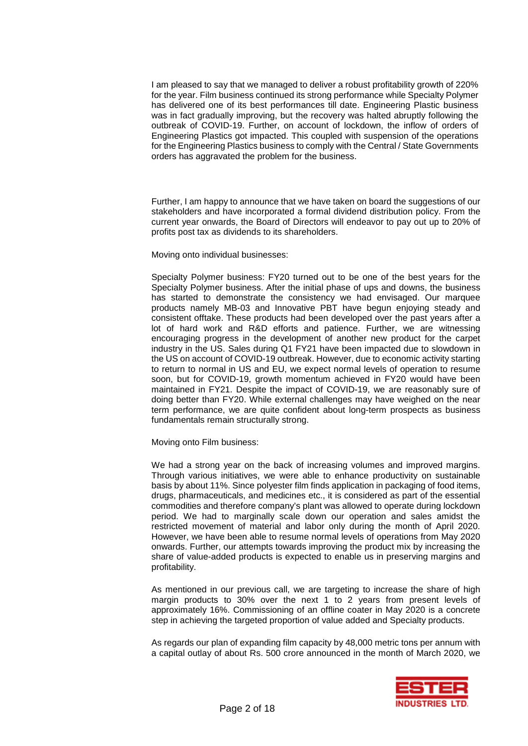I am pleased to say that we managed to deliver a robust profitability growth of 220% for the year. Film business continued its strong performance while Specialty Polymer has delivered one of its best performances till date. Engineering Plastic business was in fact gradually improving, but the recovery was halted abruptly following the outbreak of COVID-19. Further, on account of lockdown, the inflow of orders of Engineering Plastics got impacted. This coupled with suspension of the operations for the Engineering Plastics business to comply with the Central / State Governments orders has aggravated the problem for the business.

Further, I am happy to announce that we have taken on board the suggestions of our stakeholders and have incorporated a formal dividend distribution policy. From the current year onwards, the Board of Directors will endeavor to pay out up to 20% of profits post tax as dividends to its shareholders.

Moving onto individual businesses:

Specialty Polymer business: FY20 turned out to be one of the best years for the Specialty Polymer business. After the initial phase of ups and downs, the business has started to demonstrate the consistency we had envisaged. Our marquee products namely MB-03 and Innovative PBT have begun enjoying steady and consistent offtake. These products had been developed over the past years after a lot of hard work and R&D efforts and patience. Further, we are witnessing encouraging progress in the development of another new product for the carpet industry in the US. Sales during Q1 FY21 have been impacted due to slowdown in the US on account of COVID-19 outbreak. However, due to economic activity starting to return to normal in US and EU, we expect normal levels of operation to resume soon, but for COVID-19, growth momentum achieved in FY20 would have been maintained in FY21. Despite the impact of COVID-19, we are reasonably sure of doing better than FY20. While external challenges may have weighed on the near term performance, we are quite confident about long-term prospects as business fundamentals remain structurally strong.

Moving onto Film business:

We had a strong year on the back of increasing volumes and improved margins. Through various initiatives, we were able to enhance productivity on sustainable basis by about 11%. Since polyester film finds application in packaging of food items, drugs, pharmaceuticals, and medicines etc., it is considered as part of the essential commodities and therefore company's plant was allowed to operate during lockdown period. We had to marginally scale down our operation and sales amidst the restricted movement of material and labor only during the month of April 2020. However, we have been able to resume normal levels of operations from May 2020 onwards. Further, our attempts towards improving the product mix by increasing the share of value-added products is expected to enable us in preserving margins and profitability.

As mentioned in our previous call, we are targeting to increase the share of high margin products to 30% over the next 1 to 2 years from present levels of approximately 16%. Commissioning of an offline coater in May 2020 is a concrete step in achieving the targeted proportion of value added and Specialty products.

As regards our plan of expanding film capacity by 48,000 metric tons per annum with a capital outlay of about Rs. 500 crore announced in the month of March 2020, we

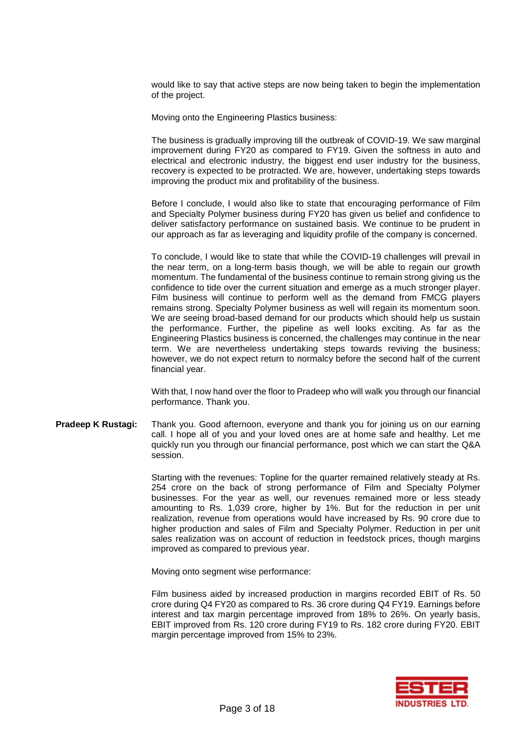would like to say that active steps are now being taken to begin the implementation of the project.

Moving onto the Engineering Plastics business:

The business is gradually improving till the outbreak of COVID-19. We saw marginal improvement during FY20 as compared to FY19. Given the softness in auto and electrical and electronic industry, the biggest end user industry for the business, recovery is expected to be protracted. We are, however, undertaking steps towards improving the product mix and profitability of the business.

Before I conclude, I would also like to state that encouraging performance of Film and Specialty Polymer business during FY20 has given us belief and confidence to deliver satisfactory performance on sustained basis. We continue to be prudent in our approach as far as leveraging and liquidity profile of the company is concerned.

To conclude, I would like to state that while the COVID-19 challenges will prevail in the near term, on a long-term basis though, we will be able to regain our growth momentum. The fundamental of the business continue to remain strong giving us the confidence to tide over the current situation and emerge as a much stronger player. Film business will continue to perform well as the demand from FMCG players remains strong. Specialty Polymer business as well will regain its momentum soon. We are seeing broad-based demand for our products which should help us sustain the performance. Further, the pipeline as well looks exciting. As far as the Engineering Plastics business is concerned, the challenges may continue in the near term. We are nevertheless undertaking steps towards reviving the business; however, we do not expect return to normalcy before the second half of the current financial year.

With that, I now hand over the floor to Pradeep who will walk you through our financial performance. Thank you.

**Pradeep K Rustagi:** Thank you. Good afternoon, everyone and thank you for joining us on our earning call. I hope all of you and your loved ones are at home safe and healthy. Let me quickly run you through our financial performance, post which we can start the Q&A session.

> Starting with the revenues: Topline for the quarter remained relatively steady at Rs. 254 crore on the back of strong performance of Film and Specialty Polymer businesses. For the year as well, our revenues remained more or less steady amounting to Rs. 1,039 crore, higher by 1%. But for the reduction in per unit realization, revenue from operations would have increased by Rs. 90 crore due to higher production and sales of Film and Specialty Polymer. Reduction in per unit sales realization was on account of reduction in feedstock prices, though margins improved as compared to previous year.

Moving onto segment wise performance:

Film business aided by increased production in margins recorded EBIT of Rs. 50 crore during Q4 FY20 as compared to Rs. 36 crore during Q4 FY19. Earnings before interest and tax margin percentage improved from 18% to 26%. On yearly basis, EBIT improved from Rs. 120 crore during FY19 to Rs. 182 crore during FY20. EBIT margin percentage improved from 15% to 23%.

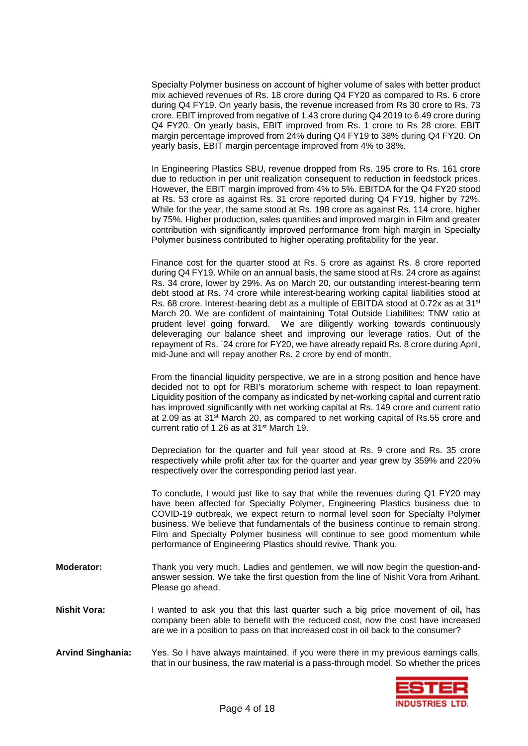Specialty Polymer business on account of higher volume of sales with better product mix achieved revenues of Rs. 18 crore during Q4 FY20 as compared to Rs. 6 crore during Q4 FY19. On yearly basis, the revenue increased from Rs 30 crore to Rs. 73 crore. EBIT improved from negative of 1.43 crore during Q4 2019 to 6.49 crore during Q4 FY20. On yearly basis, EBIT improved from Rs. 1 crore to Rs 28 crore. EBIT margin percentage improved from 24% during Q4 FY19 to 38% during Q4 FY20. On yearly basis, EBIT margin percentage improved from 4% to 38%.

In Engineering Plastics SBU, revenue dropped from Rs. 195 crore to Rs. 161 crore due to reduction in per unit realization consequent to reduction in feedstock prices. However, the EBIT margin improved from 4% to 5%. EBITDA for the Q4 FY20 stood at Rs. 53 crore as against Rs. 31 crore reported during Q4 FY19, higher by 72%. While for the year, the same stood at Rs. 198 crore as against Rs. 114 crore, higher by 75%. Higher production, sales quantities and improved margin in Film and greater contribution with significantly improved performance from high margin in Specialty Polymer business contributed to higher operating profitability for the year.

Finance cost for the quarter stood at Rs. 5 crore as against Rs. 8 crore reported during Q4 FY19. While on an annual basis, the same stood at Rs. 24 crore as against Rs. 34 crore, lower by 29%. As on March 20, our outstanding interest-bearing term debt stood at Rs. 74 crore while interest-bearing working capital liabilities stood at Rs. 68 crore. Interest-bearing debt as a multiple of EBITDA stood at 0.72x as at 31st March 20. We are confident of maintaining Total Outside Liabilities: TNW ratio at prudent level going forward. We are diligently working towards continuously deleveraging our balance sheet and improving our leverage ratios. Out of the repayment of Rs. `24 crore for FY20, we have already repaid Rs. 8 crore during April, mid-June and will repay another Rs. 2 crore by end of month.

From the financial liquidity perspective, we are in a strong position and hence have decided not to opt for RBI's moratorium scheme with respect to loan repayment. Liquidity position of the company as indicated by net-working capital and current ratio has improved significantly with net working capital at Rs. 149 crore and current ratio at 2.09 as at 31st March 20, as compared to net working capital of Rs.55 crore and current ratio of 1.26 as at 31st March 19.

Depreciation for the quarter and full year stood at Rs. 9 crore and Rs. 35 crore respectively while profit after tax for the quarter and year grew by 359% and 220% respectively over the corresponding period last year.

To conclude, I would just like to say that while the revenues during Q1 FY20 may have been affected for Specialty Polymer, Engineering Plastics business due to COVID-19 outbreak, we expect return to normal level soon for Specialty Polymer business. We believe that fundamentals of the business continue to remain strong. Film and Specialty Polymer business will continue to see good momentum while performance of Engineering Plastics should revive. Thank you.

**Moderator:** Thank you very much. Ladies and gentlemen, we will now begin the question-andanswer session. We take the first question from the line of Nishit Vora from Arihant. Please go ahead.

**Nishit Vora:** I wanted to ask you that this last quarter such a big price movement of oil**,** has company been able to benefit with the reduced cost, now the cost have increased are we in a position to pass on that increased cost in oil back to the consumer?

**Arvind Singhania:** Yes. So I have always maintained, if you were there in my previous earnings calls, that in our business, the raw material is a pass-through model. So whether the prices

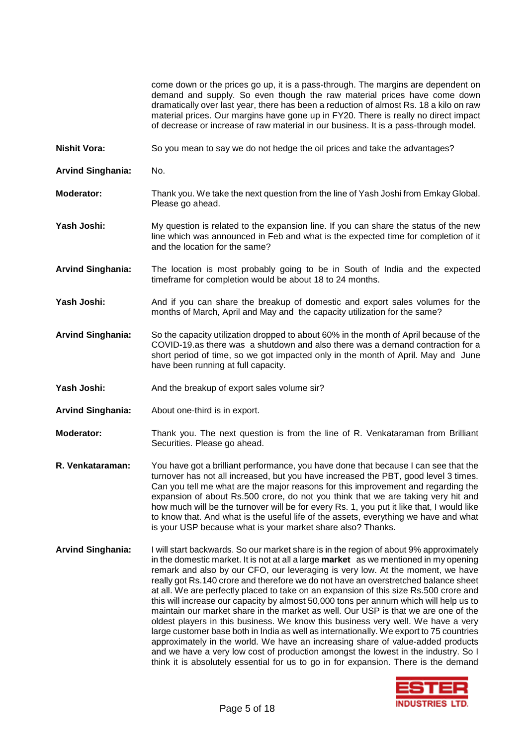come down or the prices go up, it is a pass-through. The margins are dependent on demand and supply. So even though the raw material prices have come down dramatically over last year, there has been a reduction of almost Rs. 18 a kilo on raw material prices. Our margins have gone up in FY20. There is really no direct impact of decrease or increase of raw material in our business. It is a pass-through model.

- **Nishit Vora:** So you mean to say we do not hedge the oil prices and take the advantages?
- **Arvind Singhania:** No.
- **Moderator:** Thank you. We take the next question from the line of Yash Joshi from Emkay Global. Please go ahead.
- **Yash Joshi:** My question is related to the expansion line. If you can share the status of the new line which was announced in Feb and what is the expected time for completion of it and the location for the same?
- **Arvind Singhania:** The location is most probably going to be in South of India and the expected timeframe for completion would be about 18 to 24 months.
- **Yash Joshi:** And if you can share the breakup of domestic and export sales volumes for the months of March, April and May and the capacity utilization for the same?
- **Arvind Singhania:** So the capacity utilization dropped to about 60% in the month of April because of the COVID-19.as there was a shutdown and also there was a demand contraction for a short period of time, so we got impacted only in the month of April. May and June have been running at full capacity.
- **Yash Joshi:** And the breakup of export sales volume sir?
- **Arvind Singhania:** About one-third is in export.
- **Moderator:** Thank you. The next question is from the line of R. Venkataraman from Brilliant Securities. Please go ahead.
- **R. Venkataraman:** You have got a brilliant performance, you have done that because I can see that the turnover has not all increased, but you have increased the PBT, good level 3 times. Can you tell me what are the major reasons for this improvement and regarding the expansion of about Rs.500 crore, do not you think that we are taking very hit and how much will be the turnover will be for every Rs. 1, you put it like that, I would like to know that. And what is the useful life of the assets, everything we have and what is your USP because what is your market share also? Thanks.
- **Arvind Singhania:** I will start backwards. So our market share is in the region of about 9% approximately in the domestic market. It is not at all a large **market** as we mentioned in my opening remark and also by our CFO, our leveraging is very low. At the moment, we have really got Rs.140 crore and therefore we do not have an overstretched balance sheet at all. We are perfectly placed to take on an expansion of this size Rs.500 crore and this will increase our capacity by almost 50,000 tons per annum which will help us to maintain our market share in the market as well. Our USP is that we are one of the oldest players in this business. We know this business very well. We have a very large customer base both in India as well as internationally. We export to 75 countries approximately in the world. We have an increasing share of value-added products and we have a very low cost of production amongst the lowest in the industry. So I think it is absolutely essential for us to go in for expansion. There is the demand

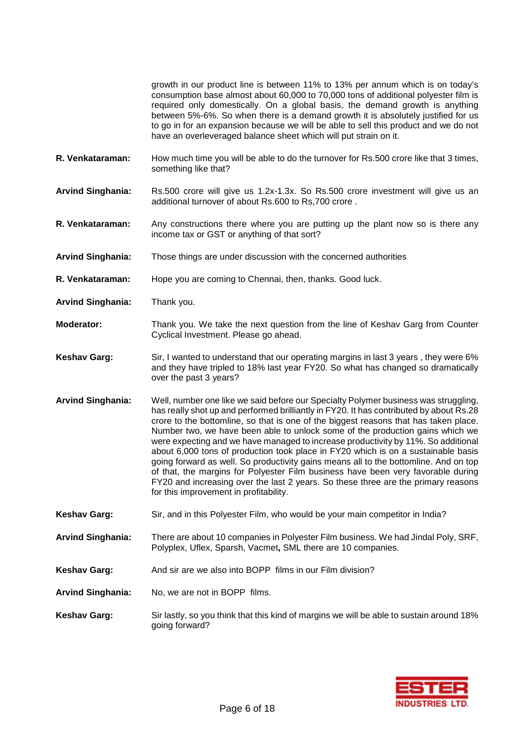growth in our product line is between 11% to 13% per annum which is on today's consumption base almost about 60,000 to 70,000 tons of additional polyester film is required only domestically. On a global basis, the demand growth is anything between 5%-6%. So when there is a demand growth it is absolutely justified for us to go in for an expansion because we will be able to sell this product and we do not have an overleveraged balance sheet which will put strain on it.

- **R. Venkataraman:** How much time you will be able to do the turnover for Rs.500 crore like that 3 times, something like that?
- **Arvind Singhania:** Rs.500 crore will give us 1.2x-1.3x. So Rs.500 crore investment will give us an additional turnover of about Rs.600 to Rs,700 crore .
- **R. Venkataraman:** Any constructions there where you are putting up the plant now so is there any income tax or GST or anything of that sort?
- **Arvind Singhania:** Those things are under discussion with the concerned authorities
- **R. Venkataraman:** Hope you are coming to Chennai, then, thanks. Good luck.
- **Arvind Singhania:** Thank you.
- **Moderator:** Thank you. We take the next question from the line of Keshav Garg from Counter Cyclical Investment. Please go ahead.
- **Keshav Garg:** Sir, I wanted to understand that our operating margins in last 3 years , they were 6% and they have tripled to 18% last year FY20. So what has changed so dramatically over the past 3 years?
- **Arvind Singhania:** Well, number one like we said before our Specialty Polymer business was struggling, has really shot up and performed brilliantly in FY20. It has contributed by about Rs.28 crore to the bottomline, so that is one of the biggest reasons that has taken place. Number two, we have been able to unlock some of the production gains which we were expecting and we have managed to increase productivity by 11%. So additional about 6,000 tons of production took place in FY20 which is on a sustainable basis going forward as well. So productivity gains means all to the bottomline. And on top of that, the margins for Polyester Film business have been very favorable during FY20 and increasing over the last 2 years. So these three are the primary reasons for this improvement in profitability.
- **Keshav Garg:** Sir, and in this Polyester Film, who would be your main competitor in India?
- **Arvind Singhania:** There are about 10 companies in Polyester Film business. We had Jindal Poly, SRF, Polyplex, Uflex, Sparsh, Vacmet**,** SML there are 10 companies.
- **Keshav Garg:** And sir are we also into BOPP films in our Film division?
- **Arvind Singhania:** No, we are not in BOPP films.
- **Keshav Garg:** Sir lastly, so you think that this kind of margins we will be able to sustain around 18% going forward?

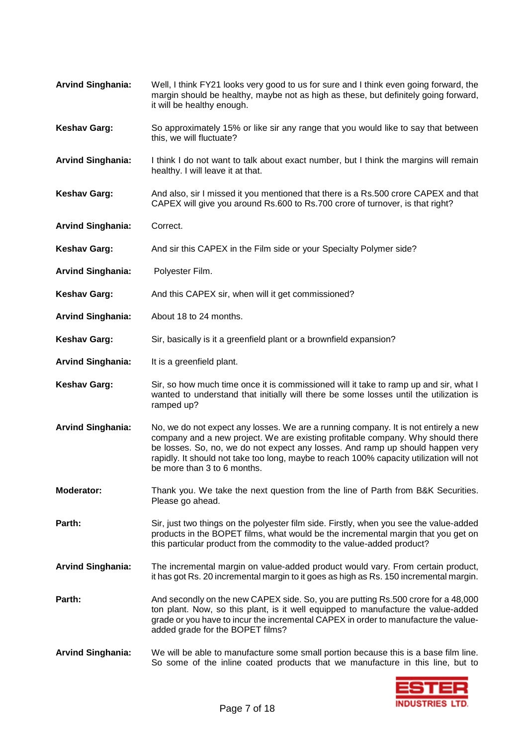| <b>Arvind Singhania:</b> | Well, I think FY21 looks very good to us for sure and I think even going forward, the<br>margin should be healthy, maybe not as high as these, but definitely going forward,<br>it will be healthy enough.                                                                                        |
|--------------------------|---------------------------------------------------------------------------------------------------------------------------------------------------------------------------------------------------------------------------------------------------------------------------------------------------|
| <b>Keshav Garg:</b>      | So approximately 15% or like sir any range that you would like to say that between<br>this, we will fluctuate?                                                                                                                                                                                    |
| <b>Arvind Singhania:</b> | I think I do not want to talk about exact number, but I think the margins will remain<br>healthy. I will leave it at that.                                                                                                                                                                        |
| <b>Keshav Garg:</b>      | And also, sir I missed it you mentioned that there is a Rs.500 crore CAPEX and that<br>CAPEX will give you around Rs.600 to Rs.700 crore of turnover, is that right?                                                                                                                              |
| <b>Arvind Singhania:</b> | Correct.                                                                                                                                                                                                                                                                                          |
| <b>Keshav Garg:</b>      | And sir this CAPEX in the Film side or your Specialty Polymer side?                                                                                                                                                                                                                               |
| <b>Arvind Singhania:</b> | Polyester Film.                                                                                                                                                                                                                                                                                   |
| <b>Keshav Garg:</b>      | And this CAPEX sir, when will it get commissioned?                                                                                                                                                                                                                                                |
| <b>Arvind Singhania:</b> | About 18 to 24 months.                                                                                                                                                                                                                                                                            |
| <b>Keshav Garg:</b>      | Sir, basically is it a greenfield plant or a brownfield expansion?                                                                                                                                                                                                                                |
| <b>Arvind Singhania:</b> | It is a greenfield plant.                                                                                                                                                                                                                                                                         |
| <b>Keshav Garg:</b>      | Sir, so how much time once it is commissioned will it take to ramp up and sir, what I<br>wanted to understand that initially will there be some losses until the utilization is<br>ramped up?                                                                                                     |
| <b>Arvind Singhania:</b> | No, we do not expect any losses. We are a running company. It is not entirely a new                                                                                                                                                                                                               |
|                          | company and a new project. We are existing profitable company. Why should there<br>be losses. So, no, we do not expect any losses. And ramp up should happen very<br>rapidly. It should not take too long, maybe to reach 100% capacity utilization will not<br>be more than 3 to 6 months.       |
| Moderator:               | Thank you. We take the next question from the line of Parth from B&K Securities.<br>Please go ahead.                                                                                                                                                                                              |
| Parth:                   | Sir, just two things on the polyester film side. Firstly, when you see the value-added<br>products in the BOPET films, what would be the incremental margin that you get on<br>this particular product from the commodity to the value-added product?                                             |
| <b>Arvind Singhania:</b> | The incremental margin on value-added product would vary. From certain product,<br>it has got Rs. 20 incremental margin to it goes as high as Rs. 150 incremental margin.                                                                                                                         |
| Parth:                   | And secondly on the new CAPEX side. So, you are putting Rs.500 crore for a 48,000<br>ton plant. Now, so this plant, is it well equipped to manufacture the value-added<br>grade or you have to incur the incremental CAPEX in order to manufacture the value-<br>added grade for the BOPET films? |

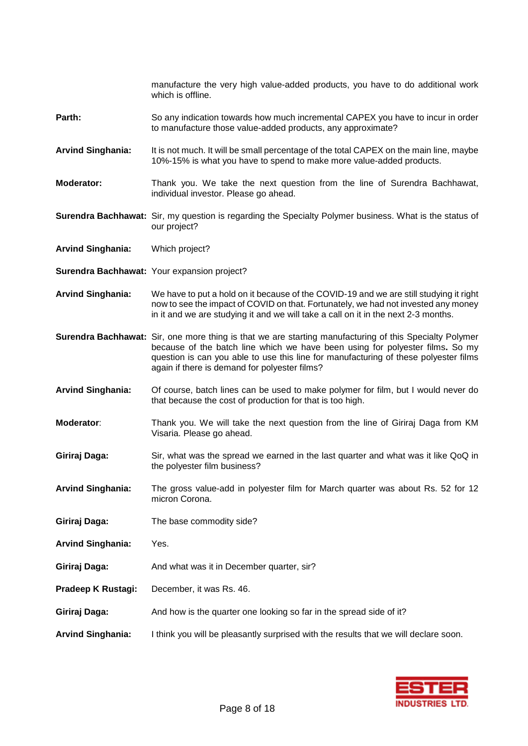manufacture the very high value-added products, you have to do additional work which is offline.

- **Parth:** So any indication towards how much incremental CAPEX you have to incur in order to manufacture those value-added products, any approximate?
- **Arvind Singhania:** It is not much. It will be small percentage of the total CAPEX on the main line, maybe 10%-15% is what you have to spend to make more value-added products.
- **Moderator:** Thank you. We take the next question from the line of Surendra Bachhawat, individual investor. Please go ahead.
- **Surendra Bachhawat:** Sir, my question is regarding the Specialty Polymer business. What is the status of our project?

**Arvind Singhania:** Which project?

- **Surendra Bachhawat:** Your expansion project?
- **Arvind Singhania:** We have to put a hold on it because of the COVID-19 and we are still studying it right now to see the impact of COVID on that. Fortunately, we had not invested any money in it and we are studying it and we will take a call on it in the next 2-3 months.
- **Surendra Bachhawat:** Sir, one more thing is that we are starting manufacturing of this Specialty Polymer because of the batch line which we have been using for polyester films**.** So my question is can you able to use this line for manufacturing of these polyester films again if there is demand for polyester films?
- **Arvind Singhania:** Of course, batch lines can be used to make polymer for film, but I would never do that because the cost of production for that is too high.
- **Moderator:** Thank you. We will take the next question from the line of Giriraj Daga from KM Visaria. Please go ahead.
- **Giriraj Daga:** Sir, what was the spread we earned in the last quarter and what was it like QoQ in the polyester film business?
- **Arvind Singhania:** The gross value-add in polyester film for March quarter was about Rs. 52 for 12 micron Corona.
- **Giriraj Daga:** The base commodity side?

**Arvind Singhania:** Yes.

- Giriraj Daga: And what was it in December quarter, sir?
- **Pradeep K Rustagi:** December, it was Rs. 46.
- **Giriraj Daga:** And how is the quarter one looking so far in the spread side of it?
- **Arvind Singhania:** I think you will be pleasantly surprised with the results that we will declare soon.

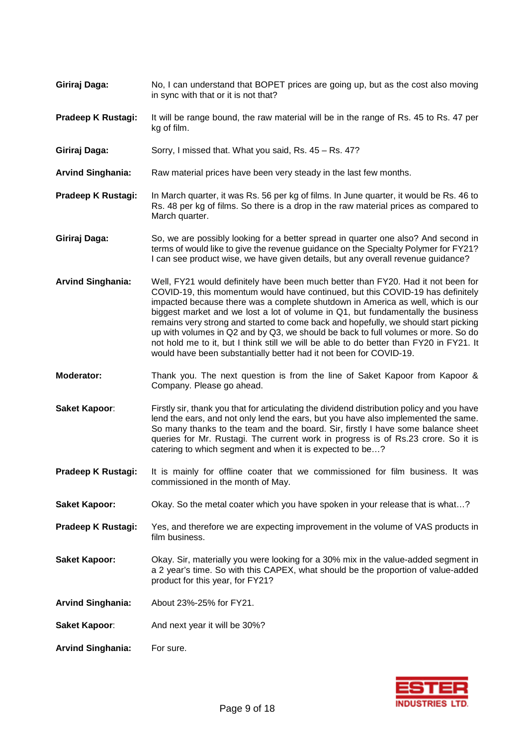- **Giriraj Daga:** No, I can understand that BOPET prices are going up, but as the cost also moving in sync with that or it is not that?
- **Pradeep K Rustagi:** It will be range bound, the raw material will be in the range of Rs. 45 to Rs. 47 per kg of film.
- **Giriraj Daga:** Sorry, I missed that. What you said, Rs. 45 Rs. 47?
- **Arvind Singhania:** Raw material prices have been very steady in the last few months.
- **Pradeep K Rustagi:** In March quarter, it was Rs. 56 per kg of films. In June quarter, it would be Rs. 46 to Rs. 48 per kg of films. So there is a drop in the raw material prices as compared to March quarter.
- **Giriraj Daga:** So, we are possibly looking for a better spread in quarter one also? And second in terms of would like to give the revenue guidance on the Specialty Polymer for FY21? I can see product wise, we have given details, but any overall revenue guidance?
- **Arvind Singhania:** Well, FY21 would definitely have been much better than FY20. Had it not been for COVID-19, this momentum would have continued, but this COVID-19 has definitely impacted because there was a complete shutdown in America as well, which is our biggest market and we lost a lot of volume in Q1, but fundamentally the business remains very strong and started to come back and hopefully, we should start picking up with volumes in Q2 and by Q3, we should be back to full volumes or more. So do not hold me to it, but I think still we will be able to do better than FY20 in FY21. It would have been substantially better had it not been for COVID-19.
- **Moderator:** Thank you. The next question is from the line of Saket Kapoor from Kapoor & Company. Please go ahead.
- **Saket Kapoor:** Firstly sir, thank you that for articulating the dividend distribution policy and you have lend the ears, and not only lend the ears, but you have also implemented the same. So many thanks to the team and the board. Sir, firstly I have some balance sheet queries for Mr. Rustagi. The current work in progress is of Rs.23 crore. So it is catering to which segment and when it is expected to be…?
- **Pradeep K Rustagi:** It is mainly for offline coater that we commissioned for film business. It was commissioned in the month of May.
- **Saket Kapoor:** Okay. So the metal coater which you have spoken in your release that is what…?
- **Pradeep K Rustagi:** Yes, and therefore we are expecting improvement in the volume of VAS products in film business.
- **Saket Kapoor:** Okay. Sir, materially you were looking for a 30% mix in the value-added segment in a 2 year's time. So with this CAPEX, what should be the proportion of value-added product for this year, for FY21?
- **Arvind Singhania:** About 23%-25% for FY21.
- **Saket Kapoor:** And next year it will be 30%?
- **Arvind Singhania:** For sure.

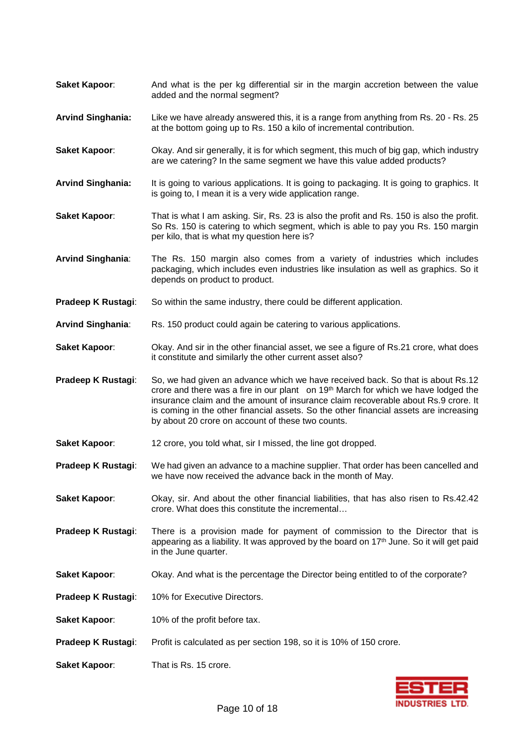- **Saket Kapoor:** And what is the per kg differential sir in the margin accretion between the value added and the normal segment?
- **Arvind Singhania:** Like we have already answered this, it is a range from anything from Rs. 20 Rs. 25 at the bottom going up to Rs. 150 a kilo of incremental contribution.
- **Saket Kapoor:** Okay. And sir generally, it is for which segment, this much of big gap, which industry are we catering? In the same segment we have this value added products?
- **Arvind Singhania:** It is going to various applications. It is going to packaging. It is going to graphics. It is going to, I mean it is a very wide application range.
- **Saket Kapoor:** That is what I am asking. Sir, Rs. 23 is also the profit and Rs. 150 is also the profit. So Rs. 150 is catering to which segment, which is able to pay you Rs. 150 margin per kilo, that is what my question here is?
- **Arvind Singhania**: The Rs. 150 margin also comes from a variety of industries which includes packaging, which includes even industries like insulation as well as graphics. So it depends on product to product.
- **Pradeep K Rustagi:** So within the same industry, there could be different application.
- **Arvind Singhania**: Rs. 150 product could again be catering to various applications.
- **Saket Kapoor:** Okay. And sir in the other financial asset, we see a figure of Rs.21 crore, what does it constitute and similarly the other current asset also?
- **Pradeep K Rustagi:** So, we had given an advance which we have received back. So that is about Rs.12 crore and there was a fire in our plant on 19th March for which we have lodged the insurance claim and the amount of insurance claim recoverable about Rs.9 crore. It is coming in the other financial assets. So the other financial assets are increasing by about 20 crore on account of these two counts.
- **Saket Kapoor:** 12 crore, you told what, sir I missed, the line got dropped.
- **Pradeep K Rustagi:** We had given an advance to a machine supplier. That order has been cancelled and we have now received the advance back in the month of May.
- **Saket Kapoor:** Okay, sir. And about the other financial liabilities, that has also risen to Rs.42.42 crore. What does this constitute the incremental…
- **Pradeep K Rustagi**: There is a provision made for payment of commission to the Director that is appearing as a liability. It was approved by the board on  $17<sup>th</sup>$  June. So it will get paid in the June quarter.
- **Saket Kapoor**: Okay. And what is the percentage the Director being entitled to of the corporate?
- **Pradeep K Rustagi:** 10% for Executive Directors.
- **Saket Kapoor:** 10% of the profit before tax.
- **Pradeep K Rustagi:** Profit is calculated as per section 198, so it is 10% of 150 crore.
- **Saket Kapoor**: That is Rs. 15 crore.

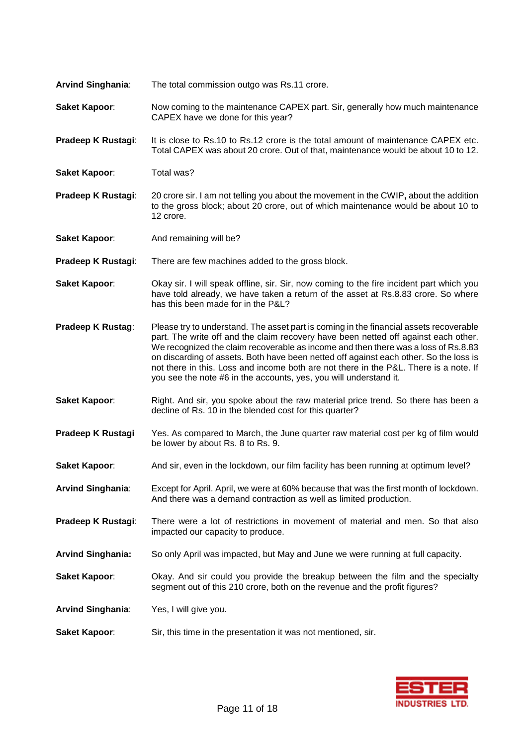| <b>Arvind Singhania:</b> | The total commission outgo was Rs.11 crore.                                                                                                                                                                                                                                                                                                                                                                                                                                                                                |
|--------------------------|----------------------------------------------------------------------------------------------------------------------------------------------------------------------------------------------------------------------------------------------------------------------------------------------------------------------------------------------------------------------------------------------------------------------------------------------------------------------------------------------------------------------------|
| Saket Kapoor:            | Now coming to the maintenance CAPEX part. Sir, generally how much maintenance<br>CAPEX have we done for this year?                                                                                                                                                                                                                                                                                                                                                                                                         |
| Pradeep K Rustagi:       | It is close to Rs.10 to Rs.12 crore is the total amount of maintenance CAPEX etc.<br>Total CAPEX was about 20 crore. Out of that, maintenance would be about 10 to 12.                                                                                                                                                                                                                                                                                                                                                     |
| Saket Kapoor:            | Total was?                                                                                                                                                                                                                                                                                                                                                                                                                                                                                                                 |
| Pradeep K Rustagi:       | 20 crore sir. I am not telling you about the movement in the CWIP, about the addition<br>to the gross block; about 20 crore, out of which maintenance would be about 10 to<br>12 crore.                                                                                                                                                                                                                                                                                                                                    |
| Saket Kapoor:            | And remaining will be?                                                                                                                                                                                                                                                                                                                                                                                                                                                                                                     |
| Pradeep K Rustagi:       | There are few machines added to the gross block.                                                                                                                                                                                                                                                                                                                                                                                                                                                                           |
| Saket Kapoor:            | Okay sir. I will speak offline, sir. Sir, now coming to the fire incident part which you<br>have told already, we have taken a return of the asset at Rs.8.83 crore. So where<br>has this been made for in the P&L?                                                                                                                                                                                                                                                                                                        |
| Pradeep K Rustag:        | Please try to understand. The asset part is coming in the financial assets recoverable<br>part. The write off and the claim recovery have been netted off against each other.<br>We recognized the claim recoverable as income and then there was a loss of Rs.8.83<br>on discarding of assets. Both have been netted off against each other. So the loss is<br>not there in this. Loss and income both are not there in the P&L. There is a note. If<br>you see the note #6 in the accounts, yes, you will understand it. |
| Saket Kapoor:            | Right. And sir, you spoke about the raw material price trend. So there has been a<br>decline of Rs. 10 in the blended cost for this quarter?                                                                                                                                                                                                                                                                                                                                                                               |
| Pradeep K Rustagi        | Yes. As compared to March, the June quarter raw material cost per kg of film would<br>be lower by about Rs. 8 to Rs. 9.                                                                                                                                                                                                                                                                                                                                                                                                    |
| Saket Kapoor:            | And sir, even in the lockdown, our film facility has been running at optimum level?                                                                                                                                                                                                                                                                                                                                                                                                                                        |
| <b>Arvind Singhania:</b> | Except for April. April, we were at 60% because that was the first month of lockdown.<br>And there was a demand contraction as well as limited production.                                                                                                                                                                                                                                                                                                                                                                 |
| Pradeep K Rustagi:       | There were a lot of restrictions in movement of material and men. So that also<br>impacted our capacity to produce.                                                                                                                                                                                                                                                                                                                                                                                                        |
| <b>Arvind Singhania:</b> | So only April was impacted, but May and June we were running at full capacity.                                                                                                                                                                                                                                                                                                                                                                                                                                             |
| Saket Kapoor:            | Okay. And sir could you provide the breakup between the film and the specialty<br>segment out of this 210 crore, both on the revenue and the profit figures?                                                                                                                                                                                                                                                                                                                                                               |
| <b>Arvind Singhania:</b> | Yes, I will give you.                                                                                                                                                                                                                                                                                                                                                                                                                                                                                                      |
| Saket Kapoor:            | Sir, this time in the presentation it was not mentioned, sir.                                                                                                                                                                                                                                                                                                                                                                                                                                                              |

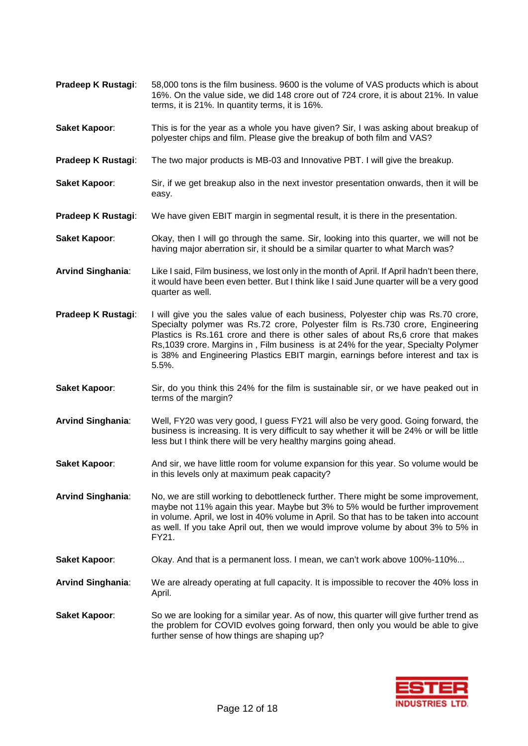- **Pradeep K Rustagi**: 58,000 tons is the film business. 9600 is the volume of VAS products which is about 16%. On the value side, we did 148 crore out of 724 crore, it is about 21%. In value terms, it is 21%. In quantity terms, it is 16%.
- **Saket Kapoor**: This is for the year as a whole you have given? Sir, I was asking about breakup of polyester chips and film. Please give the breakup of both film and VAS?
- **Pradeep K Rustagi**: The two major products is MB-03 and Innovative PBT. I will give the breakup.
- **Saket Kapoor**: Sir, if we get breakup also in the next investor presentation onwards, then it will be easy.
- **Pradeep K Rustagi:** We have given EBIT margin in segmental result, it is there in the presentation.
- **Saket Kapoor**: Okay, then I will go through the same. Sir, looking into this quarter, we will not be having major aberration sir, it should be a similar quarter to what March was?
- **Arvind Singhania**: Like I said, Film business, we lost only in the month of April. If April hadn't been there, it would have been even better. But I think like I said June quarter will be a very good quarter as well.
- **Pradeep K Rustagi**: I will give you the sales value of each business, Polyester chip was Rs.70 crore, Specialty polymer was Rs.72 crore, Polyester film is Rs.730 crore, Engineering Plastics is Rs.161 crore and there is other sales of about Rs,6 crore that makes Rs,1039 crore. Margins in , Film business is at 24% for the year, Specialty Polymer is 38% and Engineering Plastics EBIT margin, earnings before interest and tax is 5.5%.
- **Saket Kapoor:** Sir, do you think this 24% for the film is sustainable sir, or we have peaked out in terms of the margin?
- **Arvind Singhania**: Well, FY20 was very good, I guess FY21 will also be very good. Going forward, the business is increasing. It is very difficult to say whether it will be 24% or will be little less but I think there will be very healthy margins going ahead.
- **Saket Kapoor**: And sir, we have little room for volume expansion for this year. So volume would be in this levels only at maximum peak capacity?

**Arvind Singhania**: No, we are still working to debottleneck further. There might be some improvement, maybe not 11% again this year. Maybe but 3% to 5% would be further improvement in volume. April, we lost in 40% volume in April. So that has to be taken into account as well. If you take April out, then we would improve volume by about 3% to 5% in FY21.

- **Saket Kapoor:** Okay. And that is a permanent loss. I mean, we can't work above 100%-110%...
- **Arvind Singhania**: We are already operating at full capacity. It is impossible to recover the 40% loss in April.
- **Saket Kapoor:** So we are looking for a similar year. As of now, this quarter will give further trend as the problem for COVID evolves going forward, then only you would be able to give further sense of how things are shaping up?

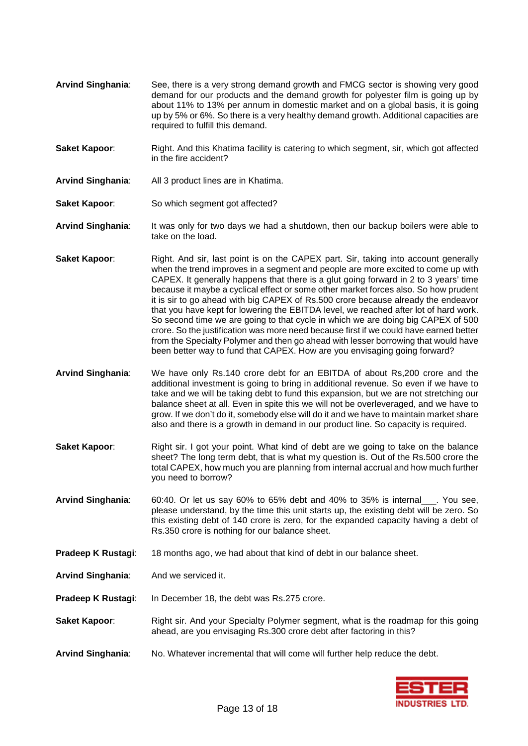- **Arvind Singhania**: See, there is a very strong demand growth and FMCG sector is showing very good demand for our products and the demand growth for polyester film is going up by about 11% to 13% per annum in domestic market and on a global basis, it is going up by 5% or 6%. So there is a very healthy demand growth. Additional capacities are required to fulfill this demand.
- **Saket Kapoor:** Right. And this Khatima facility is catering to which segment, sir, which got affected in the fire accident?
- **Arvind Singhania**: All 3 product lines are in Khatima.
- **Saket Kapoor:** So which segment got affected?
- **Arvind Singhania**: It was only for two days we had a shutdown, then our backup boilers were able to take on the load.
- **Saket Kapoor:** Right. And sir, last point is on the CAPEX part. Sir, taking into account generally when the trend improves in a segment and people are more excited to come up with CAPEX. It generally happens that there is a glut going forward in 2 to 3 years' time because it maybe a cyclical effect or some other market forces also. So how prudent it is sir to go ahead with big CAPEX of Rs.500 crore because already the endeavor that you have kept for lowering the EBITDA level, we reached after lot of hard work. So second time we are going to that cycle in which we are doing big CAPEX of 500 crore. So the justification was more need because first if we could have earned better from the Specialty Polymer and then go ahead with lesser borrowing that would have been better way to fund that CAPEX. How are you envisaging going forward?
- **Arvind Singhania**: We have only Rs.140 crore debt for an EBITDA of about Rs,200 crore and the additional investment is going to bring in additional revenue. So even if we have to take and we will be taking debt to fund this expansion, but we are not stretching our balance sheet at all. Even in spite this we will not be overleveraged, and we have to grow. If we don't do it, somebody else will do it and we have to maintain market share also and there is a growth in demand in our product line. So capacity is required.
- **Saket Kapoor:** Right sir. I got your point. What kind of debt are we going to take on the balance sheet? The long term debt, that is what my question is. Out of the Rs.500 crore the total CAPEX, how much you are planning from internal accrual and how much further you need to borrow?
- **Arvind Singhania**: 60:40. Or let us say 60% to 65% debt and 40% to 35% is internal\_\_\_. You see, please understand, by the time this unit starts up, the existing debt will be zero. So this existing debt of 140 crore is zero, for the expanded capacity having a debt of Rs.350 crore is nothing for our balance sheet.
- **Pradeep K Rustagi:** 18 months ago, we had about that kind of debt in our balance sheet.
- **Arvind Singhania**: And we serviced it.
- **Pradeep K Rustagi:** In December 18, the debt was Rs.275 crore.
- **Saket Kapoor:** Right sir. And your Specialty Polymer segment, what is the roadmap for this going ahead, are you envisaging Rs.300 crore debt after factoring in this?
- **Arvind Singhania**: No. Whatever incremental that will come will further help reduce the debt.

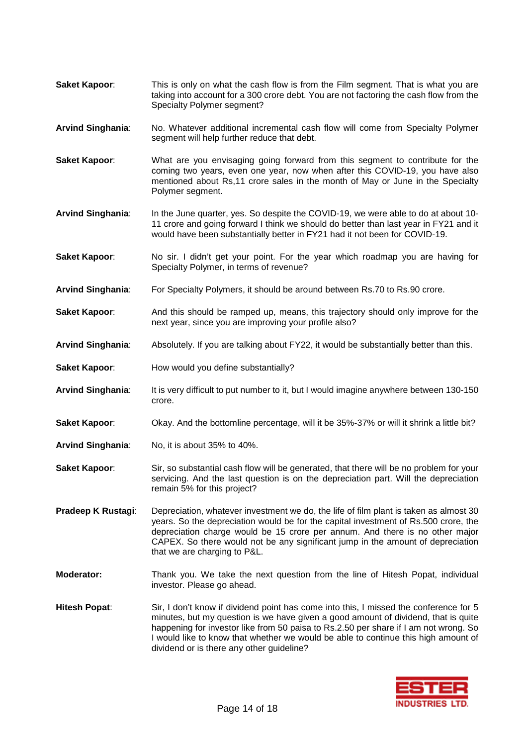- **Saket Kapoor:** This is only on what the cash flow is from the Film segment. That is what you are taking into account for a 300 crore debt. You are not factoring the cash flow from the Specialty Polymer segment?
- **Arvind Singhania**: No. Whatever additional incremental cash flow will come from Specialty Polymer segment will help further reduce that debt.
- **Saket Kapoor:** What are you envisaging going forward from this segment to contribute for the coming two years, even one year, now when after this COVID-19, you have also mentioned about Rs,11 crore sales in the month of May or June in the Specialty Polymer segment.
- **Arvind Singhania**: In the June quarter, yes. So despite the COVID-19, we were able to do at about 10- 11 crore and going forward I think we should do better than last year in FY21 and it would have been substantially better in FY21 had it not been for COVID-19.
- **Saket Kapoor**: No sir. I didn't get your point. For the year which roadmap you are having for Specialty Polymer, in terms of revenue?
- **Arvind Singhania**: For Specialty Polymers, it should be around between Rs.70 to Rs.90 crore.
- **Saket Kapoor:** And this should be ramped up, means, this trajectory should only improve for the next year, since you are improving your profile also?
- **Arvind Singhania**: Absolutely. If you are talking about FY22, it would be substantially better than this.
- **Saket Kapoor:** How would you define substantially?
- **Arvind Singhania**: It is very difficult to put number to it, but I would imagine anywhere between 130-150 crore.
- **Saket Kapoor**: Okay. And the bottomline percentage, will it be 35%-37% or will it shrink a little bit?
- **Arvind Singhania**: No, it is about 35% to 40%.
- **Saket Kapoor:** Sir, so substantial cash flow will be generated, that there will be no problem for your servicing. And the last question is on the depreciation part. Will the depreciation remain 5% for this project?
- **Pradeep K Rustagi:** Depreciation, whatever investment we do, the life of film plant is taken as almost 30 years. So the depreciation would be for the capital investment of Rs.500 crore, the depreciation charge would be 15 crore per annum. And there is no other major CAPEX. So there would not be any significant jump in the amount of depreciation that we are charging to P&L.
- **Moderator:** Thank you. We take the next question from the line of Hitesh Popat, individual investor. Please go ahead.
- **Hitesh Popat**: Sir, I don't know if dividend point has come into this, I missed the conference for 5 minutes, but my question is we have given a good amount of dividend, that is quite happening for investor like from 50 paisa to Rs.2.50 per share if I am not wrong. So I would like to know that whether we would be able to continue this high amount of dividend or is there any other guideline?

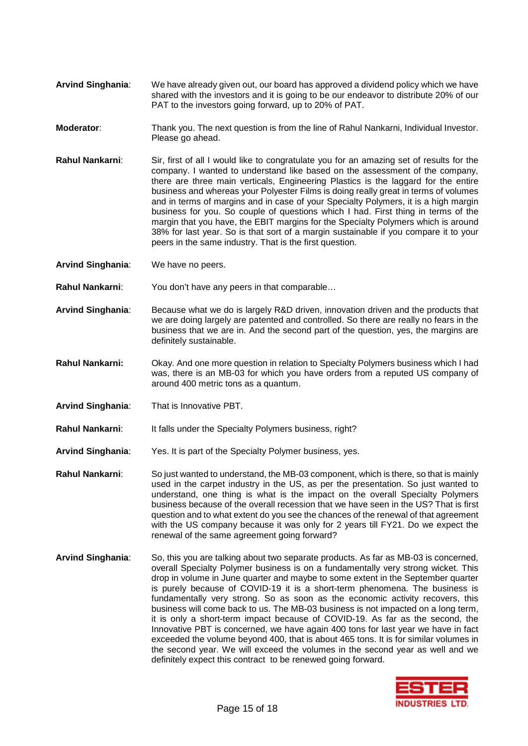- **Arvind Singhania**: We have already given out, our board has approved a dividend policy which we have shared with the investors and it is going to be our endeavor to distribute 20% of our PAT to the investors going forward, up to 20% of PAT.
- **Moderator**: Thank you. The next question is from the line of Rahul Nankarni, Individual Investor. Please go ahead.
- **Rahul Nankarni**: Sir, first of all I would like to congratulate you for an amazing set of results for the company. I wanted to understand like based on the assessment of the company, there are three main verticals, Engineering Plastics is the laggard for the entire business and whereas your Polyester Films is doing really great in terms of volumes and in terms of margins and in case of your Specialty Polymers, it is a high margin business for you. So couple of questions which I had. First thing in terms of the margin that you have, the EBIT margins for the Specialty Polymers which is around 38% for last year. So is that sort of a margin sustainable if you compare it to your peers in the same industry. That is the first question.
- **Arvind Singhania**: We have no peers.
- **Rahul Nankarni**: You don't have any peers in that comparable…
- **Arvind Singhania**: Because what we do is largely R&D driven, innovation driven and the products that we are doing largely are patented and controlled. So there are really no fears in the business that we are in. And the second part of the question, yes, the margins are definitely sustainable.
- **Rahul Nankarni:** Okay. And one more question in relation to Specialty Polymers business which I had was, there is an MB-03 for which you have orders from a reputed US company of around 400 metric tons as a quantum.
- **Arvind Singhania**: That is Innovative PBT.
- **Rahul Nankarni:** It falls under the Specialty Polymers business, right?
- **Arvind Singhania**: Yes. It is part of the Specialty Polymer business, yes.
- **Rahul Nankarni**: So just wanted to understand, the MB-03 component, which is there, so that is mainly used in the carpet industry in the US, as per the presentation. So just wanted to understand, one thing is what is the impact on the overall Specialty Polymers business because of the overall recession that we have seen in the US? That is first question and to what extent do you see the chances of the renewal of that agreement with the US company because it was only for 2 years till FY21. Do we expect the renewal of the same agreement going forward?
- **Arvind Singhania**: So, this you are talking about two separate products. As far as MB-03 is concerned, overall Specialty Polymer business is on a fundamentally very strong wicket. This drop in volume in June quarter and maybe to some extent in the September quarter is purely because of COVID-19 it is a short-term phenomena. The business is fundamentally very strong. So as soon as the economic activity recovers, this business will come back to us. The MB-03 business is not impacted on a long term, it is only a short-term impact because of COVID-19. As far as the second, the Innovative PBT is concerned, we have again 400 tons for last year we have in fact exceeded the volume beyond 400, that is about 465 tons. It is for similar volumes in the second year. We will exceed the volumes in the second year as well and we definitely expect this contract to be renewed going forward.

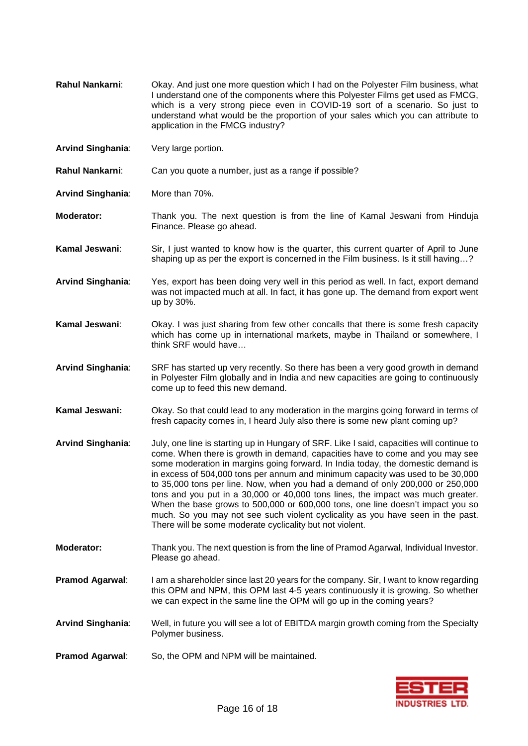- **Rahul Nankarni**: Okay. And just one more question which I had on the Polyester Film business, what I understand one of the components where this Polyester Films ge**t** used as FMCG, which is a very strong piece even in COVID-19 sort of a scenario. So just to understand what would be the proportion of your sales which you can attribute to application in the FMCG industry?
- **Arvind Singhania**: Very large portion.

**Rahul Nankarni**: Can you quote a number, just as a range if possible?

**Arvind Singhania**: More than 70%.

**Moderator:** Thank you. The next question is from the line of Kamal Jeswani from Hinduja Finance. Please go ahead.

**Kamal Jeswani**: Sir, I just wanted to know how is the quarter, this current quarter of April to June shaping up as per the export is concerned in the Film business. Is it still having…?

**Arvind Singhania**: Yes, export has been doing very well in this period as well. In fact, export demand was not impacted much at all. In fact, it has gone up. The demand from export went up by 30%.

- **Kamal Jeswani**: Okay. I was just sharing from few other concalls that there is some fresh capacity which has come up in international markets, maybe in Thailand or somewhere, I think SRF would have…
- **Arvind Singhania**: SRF has started up very recently. So there has been a very good growth in demand in Polyester Film globally and in India and new capacities are going to continuously come up to feed this new demand.
- **Kamal Jeswani:** Okay. So that could lead to any moderation in the margins going forward in terms of fresh capacity comes in, I heard July also there is some new plant coming up?
- **Arvind Singhania**: July, one line is starting up in Hungary of SRF. Like I said, capacities will continue to come. When there is growth in demand, capacities have to come and you may see some moderation in margins going forward. In India today, the domestic demand is in excess of 504,000 tons per annum and minimum capacity was used to be 30,000 to 35,000 tons per line. Now, when you had a demand of only 200,000 or 250,000 tons and you put in a 30,000 or 40,000 tons lines, the impact was much greater. When the base grows to 500,000 or 600,000 tons, one line doesn't impact you so much. So you may not see such violent cyclicality as you have seen in the past. There will be some moderate cyclicality but not violent.
- **Moderator:** Thank you. The next question is from the line of Pramod Agarwal, Individual Investor. Please go ahead.
- **Pramod Agarwal:** I am a shareholder since last 20 years for the company. Sir, I want to know regarding this OPM and NPM, this OPM last 4-5 years continuously it is growing. So whether we can expect in the same line the OPM will go up in the coming years?
- **Arvind Singhania**: Well, in future you will see a lot of EBITDA margin growth coming from the Specialty Polymer business.
- **Pramod Agarwal:** So, the OPM and NPM will be maintained.

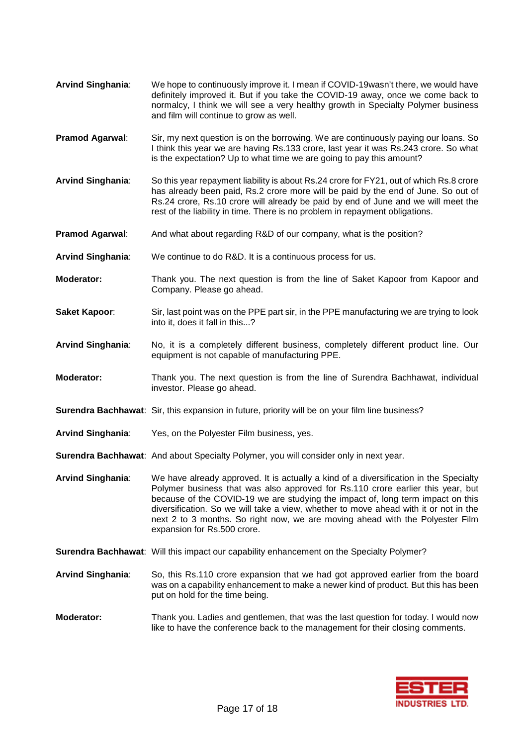- **Arvind Singhania**: We hope to continuously improve it. I mean if COVID-19wasn't there, we would have definitely improved it. But if you take the COVID-19 away, once we come back to normalcy, I think we will see a very healthy growth in Specialty Polymer business and film will continue to grow as well.
- **Pramod Agarwal:** Sir, my next question is on the borrowing. We are continuously paying our loans. So I think this year we are having Rs.133 crore, last year it was Rs.243 crore. So what is the expectation? Up to what time we are going to pay this amount?
- **Arvind Singhania**: So this year repayment liability is about Rs.24 crore for FY21, out of which Rs.8 crore has already been paid, Rs.2 crore more will be paid by the end of June. So out of Rs.24 crore, Rs.10 crore will already be paid by end of June and we will meet the rest of the liability in time. There is no problem in repayment obligations.
- **Pramod Agarwal:** And what about regarding R&D of our company, what is the position?
- **Arvind Singhania**: We continue to do R&D. It is a continuous process for us.
- **Moderator:** Thank you. The next question is from the line of Saket Kapoor from Kapoor and Company. Please go ahead.
- **Saket Kapoor:** Sir, last point was on the PPE part sir, in the PPE manufacturing we are trying to look into it, does it fall in this...?
- **Arvind Singhania**: No, it is a completely different business, completely different product line. Our equipment is not capable of manufacturing PPE.
- **Moderator:** Thank you. The next question is from the line of Surendra Bachhawat, individual investor. Please go ahead.
- **Surendra Bachhawat**: Sir, this expansion in future, priority will be on your film line business?
- **Arvind Singhania**: Yes, on the Polyester Film business, yes.
- **Surendra Bachhawat**: And about Specialty Polymer, you will consider only in next year.
- **Arvind Singhania**: We have already approved. It is actually a kind of a diversification in the Specialty Polymer business that was also approved for Rs.110 crore earlier this year, but because of the COVID-19 we are studying the impact of, long term impact on this diversification. So we will take a view, whether to move ahead with it or not in the next 2 to 3 months. So right now, we are moving ahead with the Polyester Film expansion for Rs.500 crore.
- **Surendra Bachhawat**: Will this impact our capability enhancement on the Specialty Polymer?
- **Arvind Singhania**: So, this Rs.110 crore expansion that we had got approved earlier from the board was on a capability enhancement to make a newer kind of product. But this has been put on hold for the time being.
- **Moderator:** Thank you. Ladies and gentlemen, that was the last question for today. I would now like to have the conference back to the management for their closing comments.